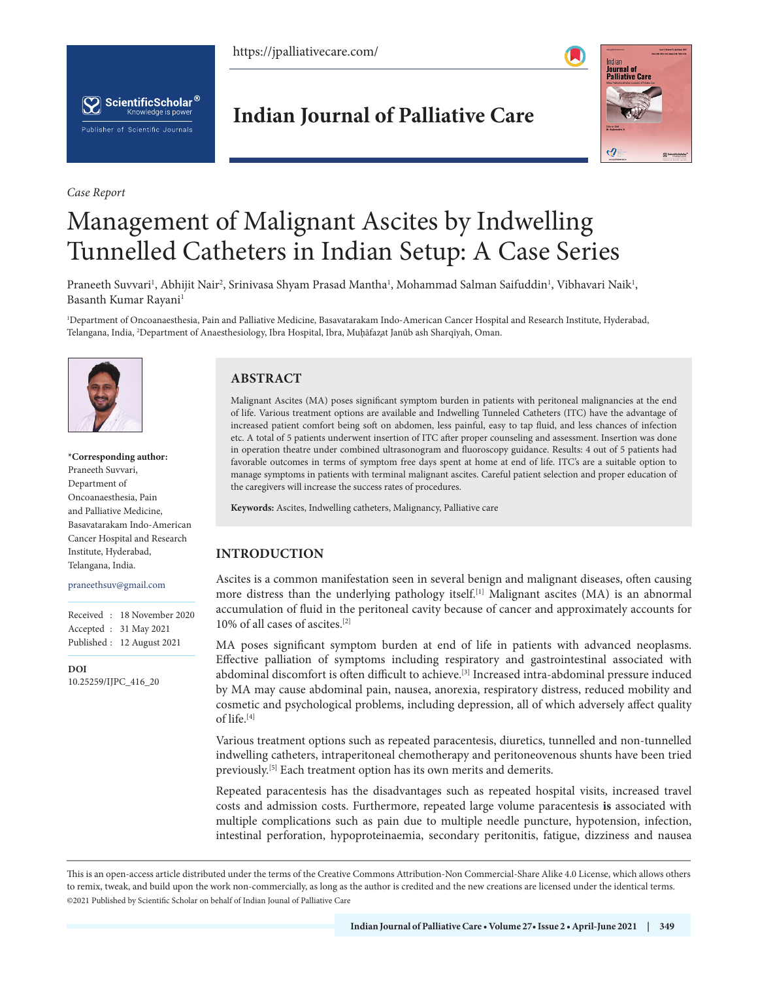https://jpalliativecare.com/





*Case Report*

## **Indian Journal of Palliative Care**



# Management of Malignant Ascites by Indwelling Tunnelled Catheters in Indian Setup: A Case Series

Praneeth Suvvari<sup>1</sup>, Abhijit Nair<sup>2</sup>, Srinivasa Shyam Prasad Mantha<sup>1</sup>, Mohammad Salman Saifuddin<sup>1</sup>, Vibhavari Naik<sup>1</sup>, Basanth Kumar Rayani<sup>1</sup>

1 Department of Oncoanaesthesia, Pain and Palliative Medicine, Basavatarakam Indo-American Cancer Hospital and Research Institute, Hyderabad, Telangana, India, <sup>2</sup>Department of Anaesthesiology, Ibra Hospital, Ibra, Muḩāfaz̯at Janūb ash Sharqīyah, Oman.



**\*Corresponding author:** Praneeth Suvvari, Department of Oncoanaesthesia, Pain and Palliative Medicine, Basavatarakam Indo-American Cancer Hospital and Research Institute, Hyderabad, Telangana, India.

#### praneethsuv@gmail.com

|  | Received: 18 November 2020 |
|--|----------------------------|
|  | Accepted : 31 May 2021     |
|  | Published: 12 August 2021  |

**DOI** [10.25259/IJPC\\_416\\_20](https://dx.doi.org/10.25259/IJPC_416_2020)

### **ABSTRACT**

Malignant Ascites (MA) poses significant symptom burden in patients with peritoneal malignancies at the end of life. Various treatment options are available and Indwelling Tunneled Catheters (ITC) have the advantage of increased patient comfort being soft on abdomen, less painful, easy to tap fluid, and less chances of infection etc. A total of 5 patients underwent insertion of ITC after proper counseling and assessment. Insertion was done in operation theatre under combined ultrasonogram and fluoroscopy guidance. Results: 4 out of 5 patients had favorable outcomes in terms of symptom free days spent at home at end of life. ITC's are a suitable option to manage symptoms in patients with terminal malignant ascites. Careful patient selection and proper education of the caregivers will increase the success rates of procedures.

**Keywords:** Ascites, Indwelling catheters, Malignancy, Palliative care

#### **INTRODUCTION**

Ascites is a common manifestation seen in several benign and malignant diseases, often causing more distress than the underlying pathology itself.<sup>[1]</sup> Malignant ascites (MA) is an abnormal accumulation of fluid in the peritoneal cavity because of cancer and approximately accounts for 10% of all cases of ascites.[2]

MA poses significant symptom burden at end of life in patients with advanced neoplasms. Effective palliation of symptoms including respiratory and gastrointestinal associated with abdominal discomfort is often difficult to achieve.[3] Increased intra-abdominal pressure induced by MA may cause abdominal pain, nausea, anorexia, respiratory distress, reduced mobility and cosmetic and psychological problems, including depression, all of which adversely affect quality of life.[4]

Various treatment options such as repeated paracentesis, diuretics, tunnelled and non-tunnelled indwelling catheters, intraperitoneal chemotherapy and peritoneovenous shunts have been tried previously.[5] Each treatment option has its own merits and demerits.

Repeated paracentesis has the disadvantages such as repeated hospital visits, increased travel costs and admission costs. Furthermore, repeated large volume paracentesis **is** associated with multiple complications such as pain due to multiple needle puncture, hypotension, infection, intestinal perforation, hypoproteinaemia, secondary peritonitis, fatigue, dizziness and nausea

is is an open-access article distributed under the terms of the Creative Commons Attribution-Non Commercial-Share Alike 4.0 License, which allows others to remix, tweak, and build upon the work non-commercially, as long as the author is credited and the new creations are licensed under the identical terms. ©2021 Published by Scientific Scholar on behalf of Indian Jounal of Palliative Care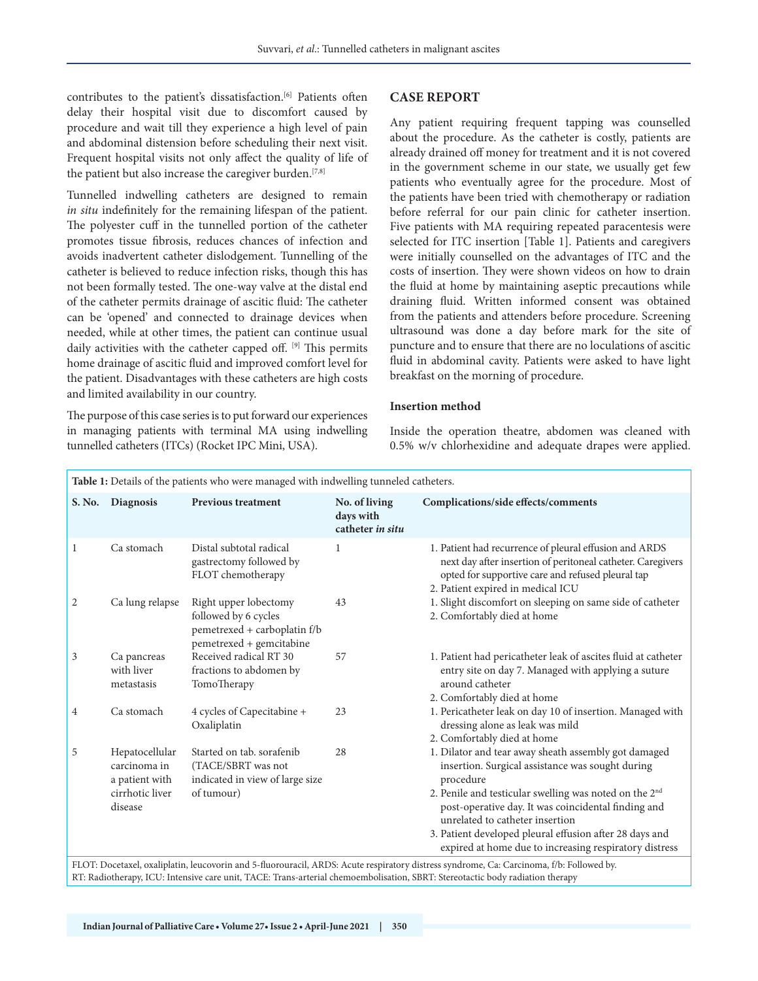contributes to the patient's dissatisfaction.<sup>[6]</sup> Patients often delay their hospital visit due to discomfort caused by procedure and wait till they experience a high level of pain and abdominal distension before scheduling their next visit. Frequent hospital visits not only affect the quality of life of the patient but also increase the caregiver burden.<sup>[7,8]</sup>

Tunnelled indwelling catheters are designed to remain *in situ* indefinitely for the remaining lifespan of the patient. The polyester cuff in the tunnelled portion of the catheter promotes tissue fibrosis, reduces chances of infection and avoids inadvertent catheter dislodgement. Tunnelling of the catheter is believed to reduce infection risks, though this has not been formally tested. The one-way valve at the distal end of the catheter permits drainage of ascitic fluid: The catheter can be 'opened' and connected to drainage devices when needed, while at other times, the patient can continue usual daily activities with the catheter capped off. [9] This permits home drainage of ascitic fluid and improved comfort level for the patient. Disadvantages with these catheters are high costs and limited availability in our country.

The purpose of this case series is to put forward our experiences in managing patients with terminal MA using indwelling tunnelled catheters (ITCs) (Rocket IPC Mini, USA).

#### **CASE REPORT**

Any patient requiring frequent tapping was counselled about the procedure. As the catheter is costly, patients are already drained off money for treatment and it is not covered in the government scheme in our state, we usually get few patients who eventually agree for the procedure. Most of the patients have been tried with chemotherapy or radiation before referral for our pain clinic for catheter insertion. Five patients with MA requiring repeated paracentesis were selected for ITC insertion [Table 1]. Patients and caregivers were initially counselled on the advantages of ITC and the costs of insertion. They were shown videos on how to drain the fluid at home by maintaining aseptic precautions while draining fluid. Written informed consent was obtained from the patients and attenders before procedure. Screening ultrasound was done a day before mark for the site of puncture and to ensure that there are no loculations of ascitic fluid in abdominal cavity. Patients were asked to have light breakfast on the morning of procedure.

#### **Insertion method**

Inside the operation theatre, abdomen was cleaned with 0.5% w/v chlorhexidine and adequate drapes were applied.

| Table 1: Details of the patients who were managed with indwelling tunneled catheters. |                                                                                |                                                                                                           |                                                |                                                                                                                                                                                                                                                                                                                                                                                                            |  |  |
|---------------------------------------------------------------------------------------|--------------------------------------------------------------------------------|-----------------------------------------------------------------------------------------------------------|------------------------------------------------|------------------------------------------------------------------------------------------------------------------------------------------------------------------------------------------------------------------------------------------------------------------------------------------------------------------------------------------------------------------------------------------------------------|--|--|
|                                                                                       | S. No. Diagnosis                                                               | <b>Previous treatment</b>                                                                                 | No. of living<br>days with<br>catheter in situ | Complications/side effects/comments                                                                                                                                                                                                                                                                                                                                                                        |  |  |
| 1                                                                                     | Ca stomach                                                                     | Distal subtotal radical<br>gastrectomy followed by<br>FLOT chemotherapy                                   | 1                                              | 1. Patient had recurrence of pleural effusion and ARDS<br>next day after insertion of peritoneal catheter. Caregivers<br>opted for supportive care and refused pleural tap<br>2. Patient expired in medical ICU                                                                                                                                                                                            |  |  |
| 2                                                                                     | Ca lung relapse                                                                | Right upper lobectomy<br>followed by 6 cycles<br>pemetrexed + carboplatin f/b<br>pemetrexed + gemcitabine | 43                                             | 1. Slight discomfort on sleeping on same side of catheter<br>2. Comfortably died at home                                                                                                                                                                                                                                                                                                                   |  |  |
| 3                                                                                     | Ca pancreas<br>with liver<br>metastasis                                        | Received radical RT 30<br>fractions to abdomen by<br>TomoTherapy                                          | 57                                             | 1. Patient had pericatheter leak of ascites fluid at catheter<br>entry site on day 7. Managed with applying a suture<br>around catheter<br>2. Comfortably died at home                                                                                                                                                                                                                                     |  |  |
| 4                                                                                     | Ca stomach                                                                     | 4 cycles of Capecitabine +<br>Oxaliplatin                                                                 | 23                                             | 1. Pericatheter leak on day 10 of insertion. Managed with<br>dressing alone as leak was mild<br>2. Comfortably died at home                                                                                                                                                                                                                                                                                |  |  |
| 5                                                                                     | Hepatocellular<br>carcinoma in<br>a patient with<br>cirrhotic liver<br>disease | Started on tab. sorafenib<br>(TACE/SBRT was not<br>indicated in view of large size<br>of tumour)          | 28                                             | 1. Dilator and tear away sheath assembly got damaged<br>insertion. Surgical assistance was sought during<br>procedure<br>2. Penile and testicular swelling was noted on the 2 <sup>nd</sup><br>post-operative day. It was coincidental finding and<br>unrelated to catheter insertion<br>3. Patient developed pleural effusion after 28 days and<br>expired at home due to increasing respiratory distress |  |  |
|                                                                                       |                                                                                |                                                                                                           |                                                | FLOT: Docetaxel, oxaliplatin, leucovorin and 5-fluorouracil, ARDS: Acute respiratory distress syndrome, Ca: Carcinoma, f/b: Followed by.                                                                                                                                                                                                                                                                   |  |  |

RT: Radiotherapy, ICU: Intensive care unit, TACE: Trans-arterial chemoembolisation, SBRT: Stereotactic body radiation therapy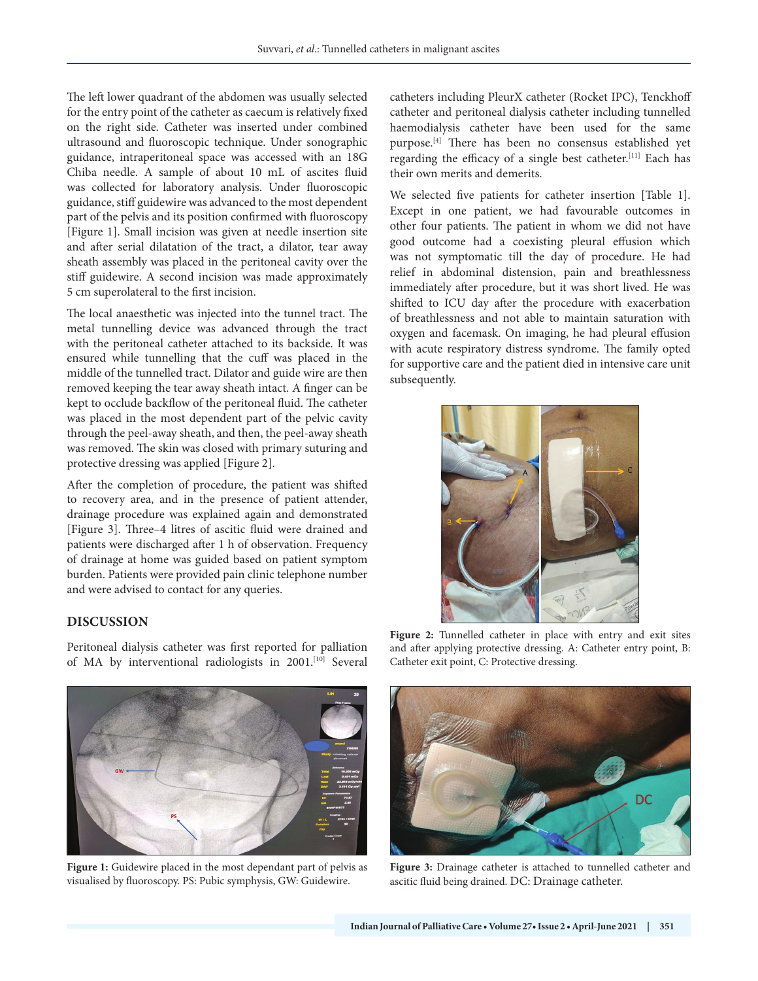The left lower quadrant of the abdomen was usually selected for the entry point of the catheter as caecum is relatively fixed on the right side. Catheter was inserted under combined ultrasound and fluoroscopic technique. Under sonographic guidance, intraperitoneal space was accessed with an 18G Chiba needle. A sample of about 10 mL of ascites fluid was collected for laboratory analysis. Under fluoroscopic guidance, stiff guidewire was advanced to the most dependent part of the pelvis and its position confirmed with fluoroscopy [Figure 1]. Small incision was given at needle insertion site and after serial dilatation of the tract, a dilator, tear away sheath assembly was placed in the peritoneal cavity over the stiff guidewire. A second incision was made approximately 5 cm superolateral to the first incision.

The local anaesthetic was injected into the tunnel tract. The metal tunnelling device was advanced through the tract with the peritoneal catheter attached to its backside. It was ensured while tunnelling that the cuff was placed in the middle of the tunnelled tract. Dilator and guide wire are then removed keeping the tear away sheath intact. A finger can be kept to occlude backflow of the peritoneal fluid. The catheter was placed in the most dependent part of the pelvic cavity through the peel-away sheath, and then, the peel-away sheath was removed. The skin was closed with primary suturing and protective dressing was applied [Figure 2].

After the completion of procedure, the patient was shifted to recovery area, and in the presence of patient attender, drainage procedure was explained again and demonstrated [Figure 3]. Three–4 litres of ascitic fluid were drained and patients were discharged after 1 h of observation. Frequency of drainage at home was guided based on patient symptom burden. Patients were provided pain clinic telephone number and were advised to contact for any queries.

#### **DISCUSSION**

Peritoneal dialysis catheter was first reported for palliation of MA by interventional radiologists in 2001.[10] Several



We selected five patients for catheter insertion [Table 1]. Except in one patient, we had favourable outcomes in other four patients. The patient in whom we did not have good outcome had a coexisting pleural effusion which was not symptomatic till the day of procedure. He had relief in abdominal distension, pain and breathlessness immediately after procedure, but it was short lived. He was shifted to ICU day after the procedure with exacerbation of breathlessness and not able to maintain saturation with oxygen and facemask. On imaging, he had pleural effusion with acute respiratory distress syndrome. The family opted for supportive care and the patient died in intensive care unit subsequently.



**Figure 2:** Tunnelled catheter in place with entry and exit sites and after applying protective dressing. A: Catheter entry point, B: Catheter exit point, C: Protective dressing.



**Figure 1:** Guidewire placed in the most dependant part of pelvis as visualised by fluoroscopy. PS: Pubic symphysis, GW: Guidewire.



**Figure 3:** Drainage catheter is attached to tunnelled catheter and ascitic fluid being drained. DC: Drainage catheter.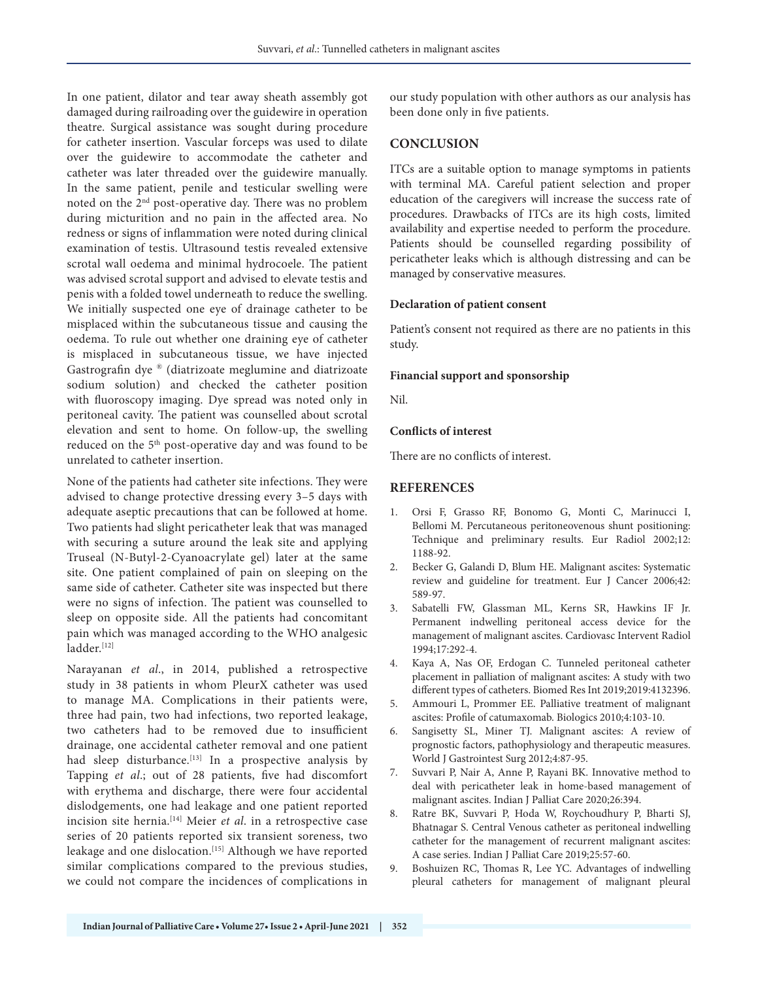In one patient, dilator and tear away sheath assembly got damaged during railroading over the guidewire in operation theatre. Surgical assistance was sought during procedure for catheter insertion. Vascular forceps was used to dilate over the guidewire to accommodate the catheter and catheter was later threaded over the guidewire manually. In the same patient, penile and testicular swelling were noted on the 2nd post-operative day. There was no problem during micturition and no pain in the affected area. No redness or signs of inflammation were noted during clinical examination of testis. Ultrasound testis revealed extensive scrotal wall oedema and minimal hydrocoele. The patient was advised scrotal support and advised to elevate testis and penis with a folded towel underneath to reduce the swelling. We initially suspected one eye of drainage catheter to be misplaced within the subcutaneous tissue and causing the oedema. To rule out whether one draining eye of catheter is misplaced in subcutaneous tissue, we have injected Gastrografin dye ® (diatrizoate meglumine and diatrizoate sodium solution) and checked the catheter position with fluoroscopy imaging. Dye spread was noted only in peritoneal cavity. The patient was counselled about scrotal elevation and sent to home. On follow-up, the swelling reduced on the 5th post-operative day and was found to be unrelated to catheter insertion.

None of the patients had catheter site infections. They were advised to change protective dressing every 3–5 days with adequate aseptic precautions that can be followed at home. Two patients had slight pericatheter leak that was managed with securing a suture around the leak site and applying Truseal (N-Butyl-2-Cyanoacrylate gel) later at the same site. One patient complained of pain on sleeping on the same side of catheter. Catheter site was inspected but there were no signs of infection. The patient was counselled to sleep on opposite side. All the patients had concomitant pain which was managed according to the WHO analgesic ladder.[12]

Narayanan *et al*., in 2014, published a retrospective study in 38 patients in whom PleurX catheter was used to manage MA. Complications in their patients were, three had pain, two had infections, two reported leakage, two catheters had to be removed due to insufficient drainage, one accidental catheter removal and one patient had sleep disturbance.<sup>[13]</sup> In a prospective analysis by Tapping *et al*.; out of 28 patients, five had discomfort with erythema and discharge, there were four accidental dislodgements, one had leakage and one patient reported incision site hernia.[14] Meier *et al*. in a retrospective case series of 20 patients reported six transient soreness, two leakage and one dislocation.<sup>[15]</sup> Although we have reported similar complications compared to the previous studies, we could not compare the incidences of complications in

our study population with other authors as our analysis has been done only in five patients.

#### **CONCLUSION**

ITCs are a suitable option to manage symptoms in patients with terminal MA. Careful patient selection and proper education of the caregivers will increase the success rate of procedures. Drawbacks of ITCs are its high costs, limited availability and expertise needed to perform the procedure. Patients should be counselled regarding possibility of pericatheter leaks which is although distressing and can be managed by conservative measures.

#### **Declaration of patient consent**

Patient's consent not required as there are no patients in this study.

#### **Financial support and sponsorship**

Nil.

#### **Conflicts of interest**

There are no conflicts of interest.

#### **REFERENCES**

- 1. Orsi F, Grasso RF, Bonomo G, Monti C, Marinucci I, Bellomi M. Percutaneous peritoneovenous shunt positioning: Technique and preliminary results. Eur Radiol 2002;12: 1188-92.
- 2. Becker G, Galandi D, Blum HE. Malignant ascites: Systematic review and guideline for treatment. Eur J Cancer 2006;42: 589-97.
- 3. Sabatelli FW, Glassman ML, Kerns SR, Hawkins IF Jr. Permanent indwelling peritoneal access device for the management of malignant ascites. Cardiovasc Intervent Radiol 1994;17:292-4.
- 4. Kaya A, Nas OF, Erdogan C. Tunneled peritoneal catheter placement in palliation of malignant ascites: A study with two different types of catheters. Biomed Res Int 2019;2019:4132396.
- 5. Ammouri L, Prommer EE. Palliative treatment of malignant ascites: Profile of catumaxomab. Biologics 2010;4:103-10.
- 6. Sangisetty SL, Miner TJ. Malignant ascites: A review of prognostic factors, pathophysiology and therapeutic measures. World J Gastrointest Surg 2012;4:87-95.
- 7. Suvvari P, Nair A, Anne P, Rayani BK. Innovative method to deal with pericatheter leak in home-based management of malignant ascites. Indian J Palliat Care 2020;26:394.
- 8. Ratre BK, Suvvari P, Hoda W, Roychoudhury P, Bharti SJ, Bhatnagar S. Central Venous catheter as peritoneal indwelling catheter for the management of recurrent malignant ascites: A case series. Indian J Palliat Care 2019;25:57-60.
- 9. Boshuizen RC, Thomas R, Lee YC. Advantages of indwelling pleural catheters for management of malignant pleural